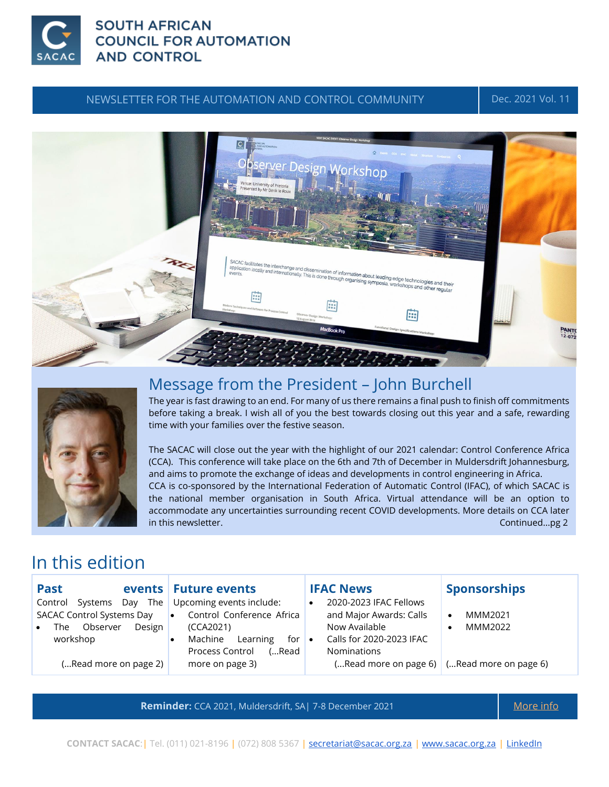

## **SOUTH AFRICAN COUNCIL FOR AUTOMATION AND CONTROL**

### NEWSLETTER FOR THE AUTOMATION AND CONTROL COMMUNITY **Dec. 2021 Vol. 11**





## Message from the President – John Burchell

The year is fast drawing to an end. For many of us there remains a final push to finish off commitments before taking a break. I wish all of you the best towards closing out this year and a safe, rewarding time with your families over the festive season.

The SACAC will close out the year with the highlight of our 2021 calendar: Control Conference Africa (CCA). This conference will take place on the 6th and 7th of December in Muldersdrift Johannesburg, and aims to promote the exchange of ideas and developments in control engineering in Africa. CCA is co-sponsored by the International Federation of Automatic Control (IFAC), of which SACAC is the national member organisation in South Africa. Virtual attendance will be an option to accommodate any uncertainties surrounding recent COVID developments. More details on CCA later in this newsletter. **Continued...pg 2** and the set of the set of the set of the set of the set of the set of the set of the set of the set of the set of the set of the set of the set of the set of the set of the set of the

# In this edition

| <b>Past</b>                                                                                                                            | events Future events                                                                                                                                                             | <b>IFAC News</b>                                                                                                                       | <b>Sponsorships</b>                                                                           |
|----------------------------------------------------------------------------------------------------------------------------------------|----------------------------------------------------------------------------------------------------------------------------------------------------------------------------------|----------------------------------------------------------------------------------------------------------------------------------------|-----------------------------------------------------------------------------------------------|
| The<br>Systems<br>Control<br>Day<br><b>SACAC Control Systems Day</b><br>Observer<br>Design<br>The<br>workshop<br>(Read more on page 2) | Upcoming events include:<br>Control Conference Africa<br>$\bullet$<br>(CCA2021)<br>Machine<br>Learning<br>for<br>$\bullet$<br><b>Process Control</b><br>(Read<br>more on page 3) | 2020-2023 IFAC Fellows<br>٠<br>and Major Awards: Calls<br>Now Available<br>Calls for 2020-2023 IFAC<br>$\bullet$<br><b>Nominations</b> | MMM2021<br>$\bullet$<br>MMM2022<br>٠<br>( Read more on page 6) $\vert$ ( Read more on page 6) |
|                                                                                                                                        |                                                                                                                                                                                  |                                                                                                                                        |                                                                                               |

**Reminder:** CCA 2021, Muldersdrift, SA| 7-8 December 2021 [More info](https://cca2021.org/)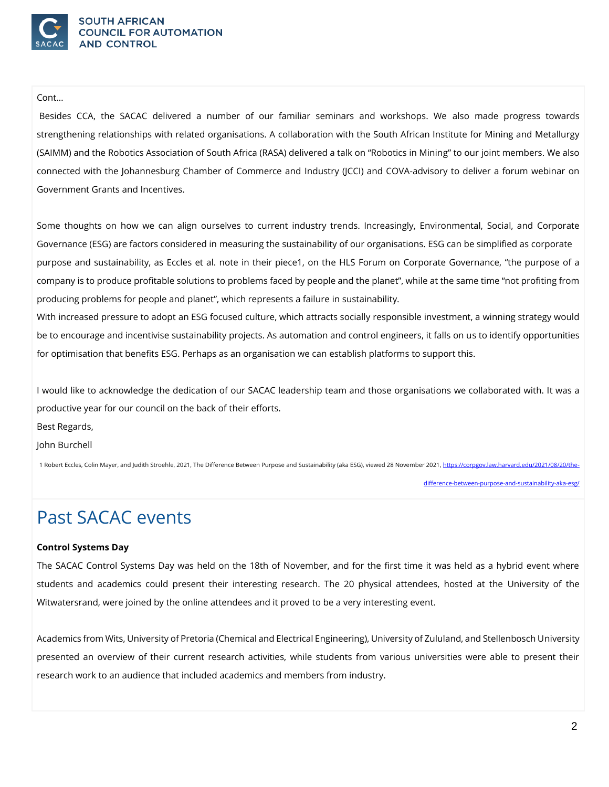

#### Cont…

Besides CCA, the SACAC delivered a number of our familiar seminars and workshops. We also made progress towards strengthening relationships with related organisations. A collaboration with the South African Institute for Mining and Metallurgy (SAIMM) and the Robotics Association of South Africa (RASA) delivered a talk on "Robotics in Mining" to our joint members. We also connected with the Johannesburg Chamber of Commerce and Industry (JCCI) and COVA-advisory to deliver a forum webinar on Government Grants and Incentives.

Some thoughts on how we can align ourselves to current industry trends. Increasingly, Environmental, Social, and Corporate Governance (ESG) are factors considered in measuring the sustainability of our organisations. ESG can be simplified as corporate purpose and sustainability, as Eccles et al. note in their piece1, on the HLS Forum on Corporate Governance, "the purpose of a company is to produce profitable solutions to problems faced by people and the planet", while at the same time "not profiting from producing problems for people and planet", which represents a failure in sustainability.

With increased pressure to adopt an ESG focused culture, which attracts socially responsible investment, a winning strategy would be to encourage and incentivise sustainability projects. As automation and control engineers, it falls on us to identify opportunities for optimisation that benefits ESG. Perhaps as an organisation we can establish platforms to support this.

I would like to acknowledge the dedication of our SACAC leadership team and those organisations we collaborated with. It was a productive year for our council on the back of their efforts.

Best Regards,

John Burchell

1 Robert Eccles, Colin Mayer, and Judith Stroehle, 2021, The Difference Between Purpose and Sustainability (aka ESG), viewed 28 November 2021, [https://corpgov.law.harvard.edu/2021/08/20/the-](https://corpgov.law.harvard.edu/2021/08/20/the-difference-between-purpose-and-sustainability-aka-esg/)

[difference-between-purpose-and-sustainability-aka-esg/](https://corpgov.law.harvard.edu/2021/08/20/the-difference-between-purpose-and-sustainability-aka-esg/)

# Past SACAC events

#### **Control Systems Day**

The SACAC Control Systems Day was held on the 18th of November, and for the first time it was held as a hybrid event where students and academics could present their interesting research. The 20 physical attendees, hosted at the University of the Witwatersrand, were joined by the online attendees and it proved to be a very interesting event.

Academics from Wits, University of Pretoria (Chemical and Electrical Engineering), University of Zululand, and Stellenbosch University presented an overview of their current research activities, while students from various universities were able to present their research work to an audience that included academics and members from industry.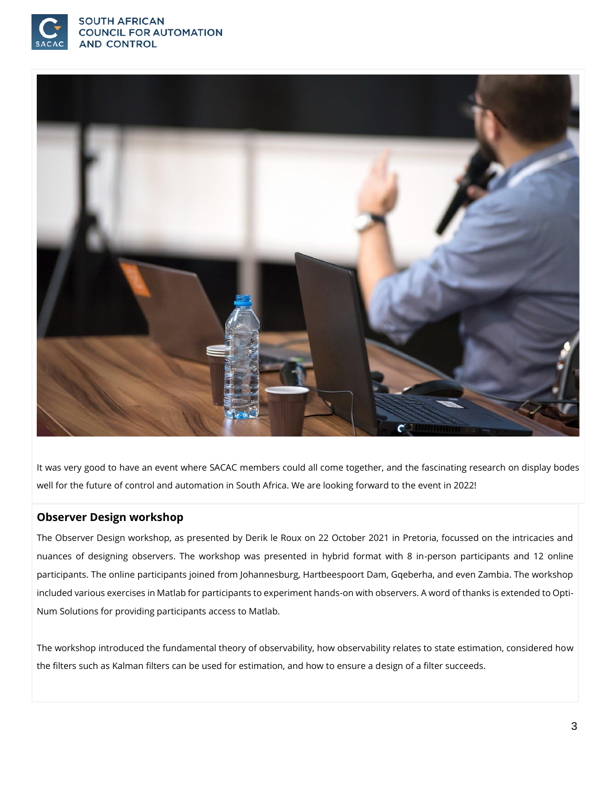



It was very good to have an event where SACAC members could all come together, and the fascinating research on display bodes well for the future of control and automation in South Africa. We are looking forward to the event in 2022!

#### **Observer Design workshop**

The Observer Design workshop, as presented by Derik le Roux on 22 October 2021 in Pretoria, focussed on the intricacies and nuances of designing observers. The workshop was presented in hybrid format with 8 in-person participants and 12 online participants. The online participants joined from Johannesburg, Hartbeespoort Dam, Gqeberha, and even Zambia. The workshop included various exercises in Matlab for participants to experiment hands-on with observers. A word of thanks is extended to Opti-Num Solutions for providing participants access to Matlab.

The workshop introduced the fundamental theory of observability, how observability relates to state estimation, considered how the filters such as Kalman filters can be used for estimation, and how to ensure a design of a filter succeeds.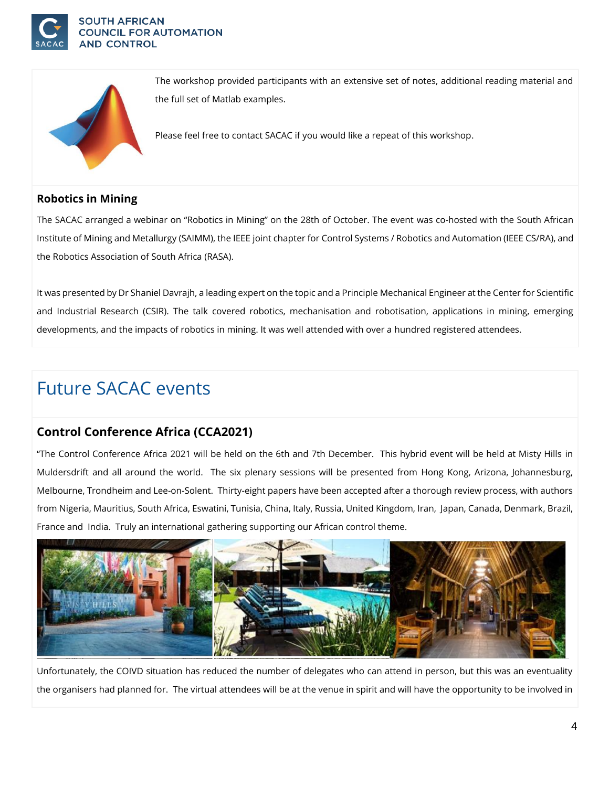



The workshop provided participants with an extensive set of notes, additional reading material and the full set of Matlab examples.

Please feel free to contact SACAC if you would like a repeat of this workshop.

### **Robotics in Mining**

The SACAC arranged a webinar on "Robotics in Mining" on the 28th of October. The event was co-hosted with the South African Institute of Mining and Metallurgy (SAIMM), the IEEE joint chapter for Control Systems / Robotics and Automation (IEEE CS/RA), and the Robotics Association of South Africa (RASA).

It was presented by Dr Shaniel Davrajh, a leading expert on the topic and a Principle Mechanical Engineer at the Center for Scientific and Industrial Research (CSIR). The talk covered robotics, mechanisation and robotisation, applications in mining, emerging developments, and the impacts of robotics in mining. It was well attended with over a hundred registered attendees.

# Future SACAC events

## **Control Conference Africa (CCA2021)**

"The Control Conference Africa 2021 will be held on the 6th and 7th December. This hybrid event will be held at Misty Hills in Muldersdrift and all around the world. The six plenary sessions will be presented from Hong Kong, Arizona, Johannesburg, Melbourne, Trondheim and Lee-on-Solent. Thirty-eight papers have been accepted after a thorough review process, with authors from Nigeria, Mauritius, South Africa, Eswatini, Tunisia, China, Italy, Russia, United Kingdom, Iran, Japan, Canada, Denmark, Brazil, France and India. Truly an international gathering supporting our African control theme.



Unfortunately, the COIVD situation has reduced the number of delegates who can attend in person, but this was an eventuality the organisers had planned for. The virtual attendees will be at the venue in spirit and will have the opportunity to be involved in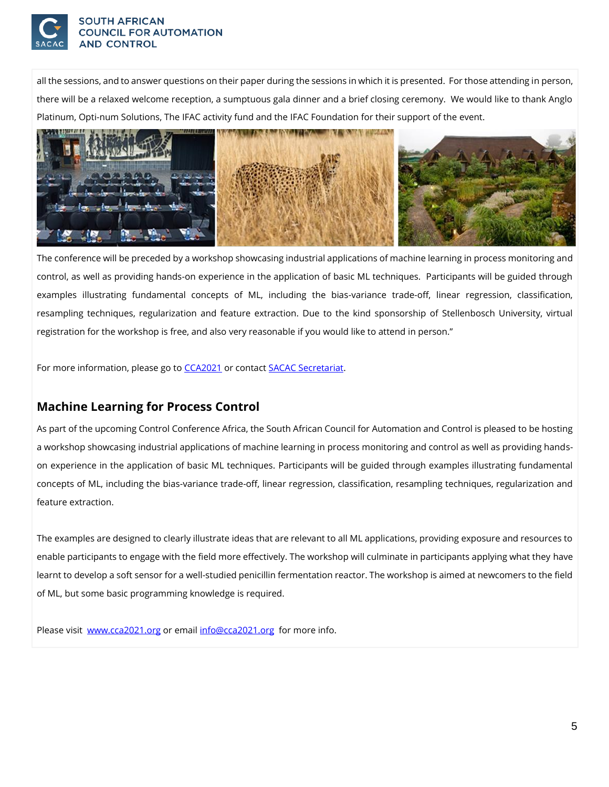

#### **SOUTH AFRICAN COUNCIL FOR AUTOMATION AND CONTROL**

all the sessions, and to answer questions on their paper during the sessions in which it is presented. For those attending in person, there will be a relaxed welcome reception, a sumptuous gala dinner and a brief closing ceremony. We would like to thank Anglo Platinum, Opti-num Solutions, The IFAC activity fund and the IFAC Foundation for their support of the event.



The conference will be preceded by a workshop showcasing industrial applications of machine learning in process monitoring and control, as well as providing hands-on experience in the application of basic ML techniques. Participants will be guided through examples illustrating fundamental concepts of ML, including the bias-variance trade-off, linear regression, classification, resampling techniques, regularization and feature extraction. Due to the kind sponsorship of Stellenbosch University, virtual registration for the workshop is free, and also very reasonable if you would like to attend in person."

For more information, please go t[o CCA2021](http://www.cca2021.org/) or contact [SACAC Secretariat.](mailto:secretariat@sacac.org.za) 

## **Machine Learning for Process Control**

As part of the upcoming Control Conference Africa, the South African Council for Automation and Control is pleased to be hosting a workshop showcasing industrial applications of machine learning in process monitoring and control as well as providing handson experience in the application of basic ML techniques. Participants will be guided through examples illustrating fundamental concepts of ML, including the bias-variance trade-off, linear regression, classification, resampling techniques, regularization and feature extraction.

The examples are designed to clearly illustrate ideas that are relevant to all ML applications, providing exposure and resources to enable participants to engage with the field more effectively. The workshop will culminate in participants applying what they have learnt to develop a soft sensor for a well-studied penicillin fermentation reactor. The workshop is aimed at newcomers to the field of ML, but some basic programming knowledge is required.

Please visit [www.cca2021.org](http://www.cca2021.org/) or emai[l info@cca2021.org](mailto:info@cca2021.org) for more info.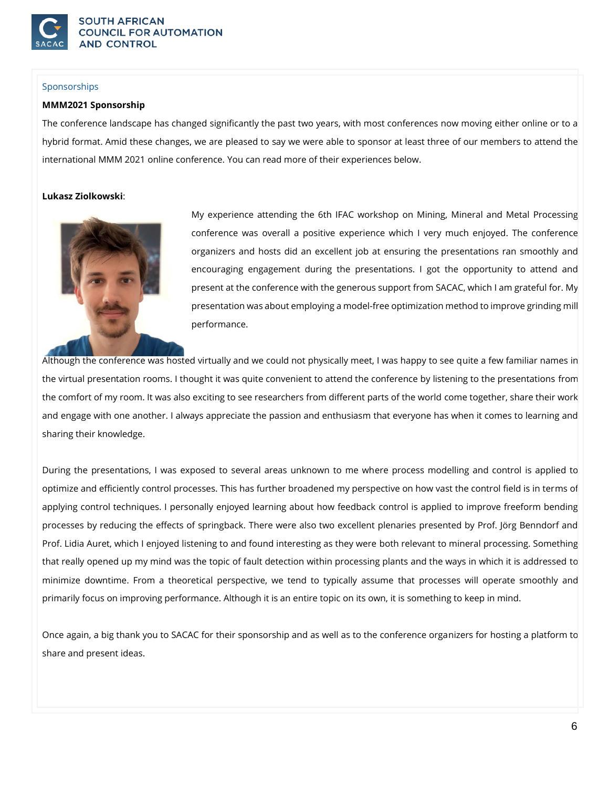

#### Sponsorships

#### **MMM2021 Sponsorship**

The conference landscape has changed significantly the past two years, with most conferences now moving either online or to a hybrid format. Amid these changes, we are pleased to say we were able to sponsor at least three of our members to attend the international MMM 2021 online conference. You can read more of their experiences below.

#### **Lukasz Ziolkowski**:



My experience attending the 6th IFAC workshop on Mining, Mineral and Metal Processing conference was overall a positive experience which I very much enjoyed. The conference organizers and hosts did an excellent job at ensuring the presentations ran smoothly and encouraging engagement during the presentations. I got the opportunity to attend and present at the conference with the generous support from SACAC, which I am grateful for. My presentation was about employing a model-free optimization method to improve grinding mill performance.

Although the conference was hosted virtually and we could not physically meet, I was happy to see quite a few familiar names in the virtual presentation rooms. I thought it was quite convenient to attend the conference by listening to the presentations from the comfort of my room. It was also exciting to see researchers from different parts of the world come together, share their work and engage with one another. I always appreciate the passion and enthusiasm that everyone has when it comes to learning and sharing their knowledge.

During the presentations, I was exposed to several areas unknown to me where process modelling and control is applied to optimize and efficiently control processes. This has further broadened my perspective on how vast the control field is in terms of applying control techniques. I personally enjoyed learning about how feedback control is applied to improve freeform bending processes by reducing the effects of springback. There were also two excellent plenaries presented by Prof. Jörg Benndorf and Prof. Lidia Auret, which I enjoyed listening to and found interesting as they were both relevant to mineral processing. Something that really opened up my mind was the topic of fault detection within processing plants and the ways in which it is addressed to minimize downtime. From a theoretical perspective, we tend to typically assume that processes will operate smoothly and primarily focus on improving performance. Although it is an entire topic on its own, it is something to keep in mind.

Once again, a big thank you to SACAC for their sponsorship and as well as to the conference organizers for hosting a platform to share and present ideas.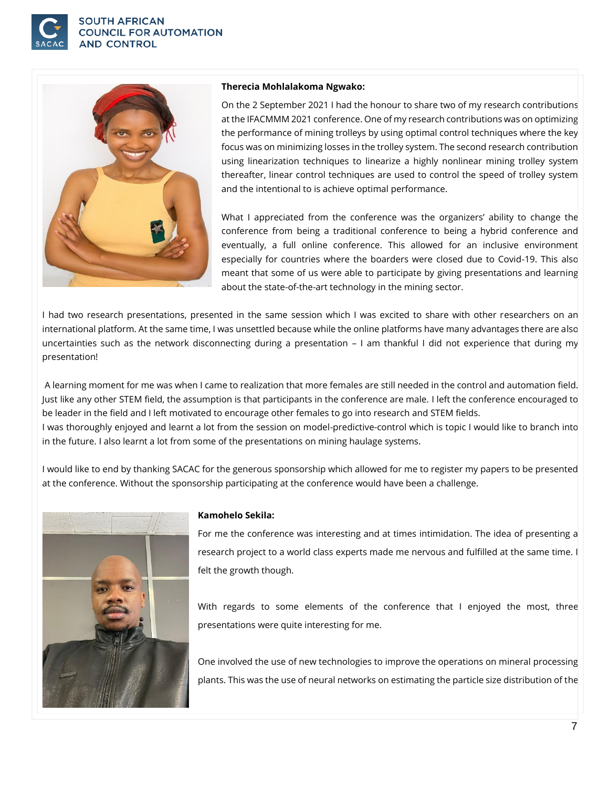

#### **SOUTH AFRICAN COUNCIL FOR AUTOMATION AND CONTROL**



#### **Therecia Mohlalakoma Ngwako:**

On the 2 September 2021 I had the honour to share two of my research contributions at the IFACMMM 2021 conference. One of my research contributions was on optimizing the performance of mining trolleys by using optimal control techniques where the key focus was on minimizing losses in the trolley system. The second research contribution using linearization techniques to linearize a highly nonlinear mining trolley system thereafter, linear control techniques are used to control the speed of trolley system and the intentional to is achieve optimal performance.

What I appreciated from the conference was the organizers' ability to change the conference from being a traditional conference to being a hybrid conference and eventually, a full online conference. This allowed for an inclusive environment especially for countries where the boarders were closed due to Covid-19. This also meant that some of us were able to participate by giving presentations and learning about the state-of-the-art technology in the mining sector.

I had two research presentations, presented in the same session which I was excited to share with other researchers on an international platform. At the same time, I was unsettled because while the online platforms have many advantages there are also uncertainties such as the network disconnecting during a presentation – I am thankful I did not experience that during my presentation!

A learning moment for me was when I came to realization that more females are still needed in the control and automation field. Just like any other STEM field, the assumption is that participants in the conference are male. I left the conference encouraged to be leader in the field and I left motivated to encourage other females to go into research and STEM fields. I was thoroughly enjoyed and learnt a lot from the session on model-predictive-control which is topic I would like to branch into in the future. I also learnt a lot from some of the presentations on mining haulage systems.

I would like to end by thanking SACAC for the generous sponsorship which allowed for me to register my papers to be presented at the conference. Without the sponsorship participating at the conference would have been a challenge.



#### **Kamohelo Sekila:**

For me the conference was interesting and at times intimidation. The idea of presenting a research project to a world class experts made me nervous and fulfilled at the same time. I felt the growth though.

With regards to some elements of the conference that I enjoyed the most, three presentations were quite interesting for me.

One involved the use of new technologies to improve the operations on mineral processing plants. This was the use of neural networks on estimating the particle size distribution of the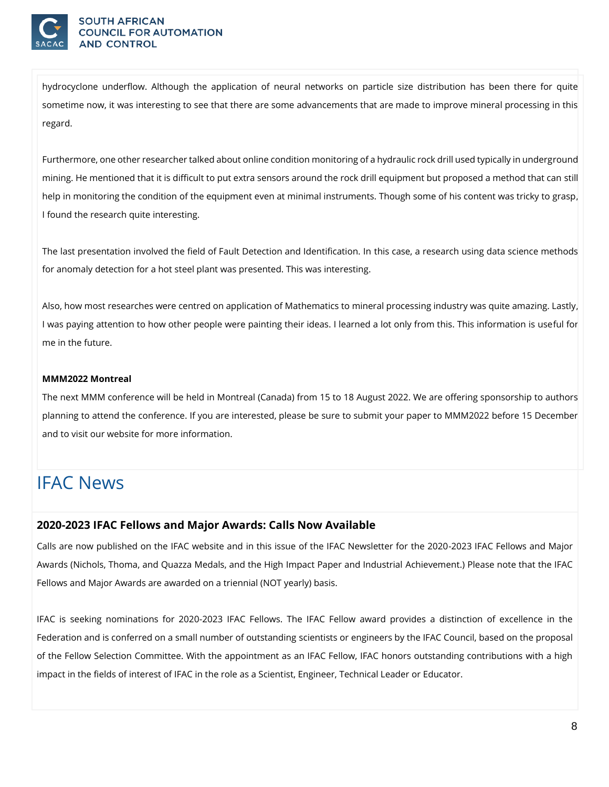

#### **SOUTH AFRICAN NCIL FOR AUTOMATION AND CONTROL**

hydrocyclone underflow. Although the application of neural networks on particle size distribution has been there for quite sometime now, it was interesting to see that there are some advancements that are made to improve mineral processing in this regard.

Furthermore, one other researcher talked about online condition monitoring of a hydraulic rock drill used typically in underground mining. He mentioned that it is difficult to put extra sensors around the rock drill equipment but proposed a method that can still help in monitoring the condition of the equipment even at minimal instruments. Though some of his content was tricky to grasp, I found the research quite interesting.

The last presentation involved the field of Fault Detection and Identification. In this case, a research using data science methods for anomaly detection for a hot steel plant was presented. This was interesting.

Also, how most researches were centred on application of Mathematics to mineral processing industry was quite amazing. Lastly, I was paying attention to how other people were painting their ideas. I learned a lot only from this. This information is useful for me in the future.

#### **MMM2022 Montreal**

The next MMM conference will be held in Montreal (Canada) from 15 to 18 August 2022. We are offering sponsorship to authors planning to attend the conference. If you are interested, please be sure to submit your paper to MMM2022 before 15 December and to visit our website for more information.

# IFAC News

### **2020-2023 IFAC Fellows and Major Awards: Calls Now Available**

Calls are now published on the IFAC website and in this issue of the IFAC Newsletter for the 2020-2023 IFAC Fellows and Major Awards (Nichols, Thoma, and Quazza Medals, and the High Impact Paper and Industrial Achievement.) Please note that the IFAC Fellows and Major Awards are awarded on a triennial (NOT yearly) basis.

IFAC is seeking nominations for 2020-2023 IFAC Fellows. The IFAC Fellow award provides a distinction of excellence in the Federation and is conferred on a small number of outstanding scientists or engineers by the IFAC Council, based on the proposal of the Fellow Selection Committee. With the appointment as an IFAC Fellow, IFAC honors outstanding contributions with a high impact in the fields of interest of IFAC in the role as a Scientist, Engineer, Technical Leader or Educator.